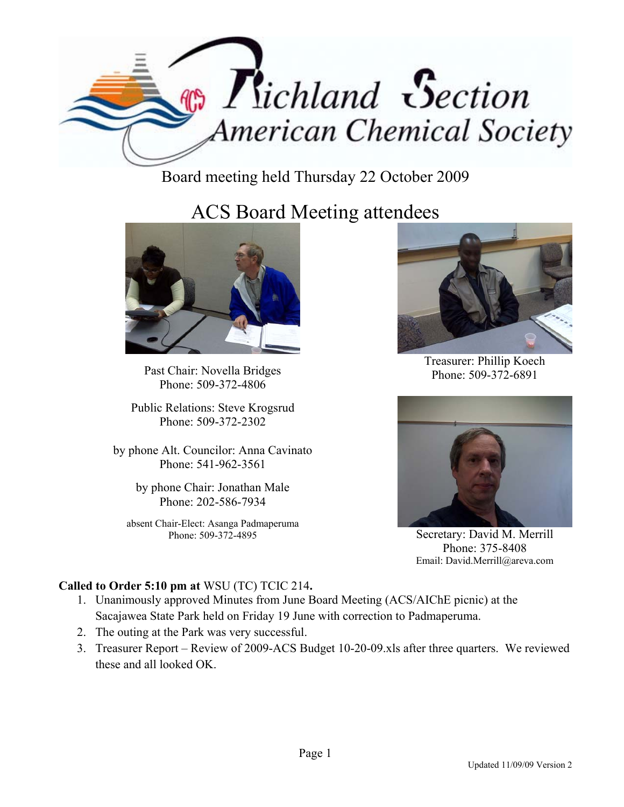

Board meeting held Thursday 22 October 2009

## ACS Board Meeting attendees



Past Chair: Novella Bridges Phone: 509-372-4806

Public Relations: Steve Krogsrud Phone: 509-372-2302

by phone Alt. Councilor: Anna Cavinato Phone: 541-962-3561

> by phone Chair: Jonathan Male Phone: 202-586-7934

absent Chair-Elect: Asanga Padmaperuma Phone: 509-372-4895



Treasurer: Phillip Koech Phone: 509-372-6891



Secretary: David M. Merrill Phone: 375-8408 Email: David.Merrill@areva.com

## **Called to Order 5:10 pm at** WSU (TC) TCIC 214**.**

- 1. Unanimously approved Minutes from June Board Meeting (ACS/AIChE picnic) at the Sacajawea State Park held on Friday 19 June with correction to Padmaperuma.
- 2. The outing at the Park was very successful.
- 3. Treasurer Report Review of 2009-ACS Budget 10-20-09.xls after three quarters. We reviewed these and all looked OK.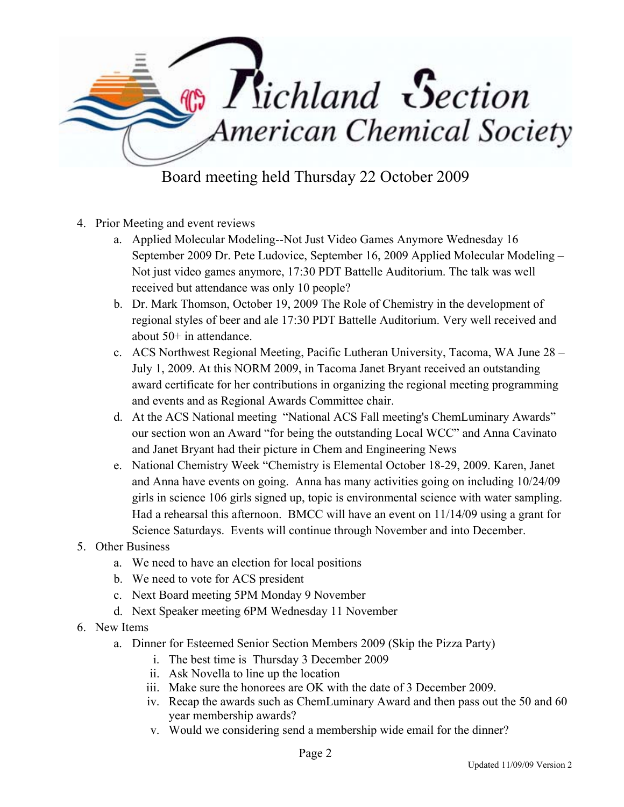

- 4. Prior Meeting and event reviews
	- a. Applied Molecular Modeling--Not Just Video Games Anymore Wednesday 16 September 2009 Dr. Pete Ludovice, September 16, 2009 Applied Molecular Modeling – Not just video games anymore, 17:30 PDT Battelle Auditorium. The talk was well received but attendance was only 10 people?
	- b. Dr. Mark Thomson, October 19, 2009 The Role of Chemistry in the development of regional styles of beer and ale 17:30 PDT Battelle Auditorium. Very well received and about 50+ in attendance.
	- c. ACS Northwest Regional Meeting, Pacific Lutheran University, Tacoma, WA June 28 July 1, 2009. At this NORM 2009, in Tacoma Janet Bryant received an outstanding award certificate for her contributions in organizing the regional meeting programming and events and as Regional Awards Committee chair.
	- d. At the ACS National meeting "National ACS Fall meeting's ChemLuminary Awards" our section won an Award "for being the outstanding Local WCC" and Anna Cavinato and Janet Bryant had their picture in Chem and Engineering News
	- e. National Chemistry Week "Chemistry is Elemental October 18-29, 2009. Karen, Janet and Anna have events on going. Anna has many activities going on including 10/24/09 girls in science 106 girls signed up, topic is environmental science with water sampling. Had a rehearsal this afternoon. BMCC will have an event on 11/14/09 using a grant for Science Saturdays. Events will continue through November and into December.
- 5. Other Business
	- a. We need to have an election for local positions
	- b. We need to vote for ACS president
	- c. Next Board meeting 5PM Monday 9 November
	- d. Next Speaker meeting 6PM Wednesday 11 November
- 6. New Items
	- a. Dinner for Esteemed Senior Section Members 2009 (Skip the Pizza Party)
		- i. The best time is Thursday 3 December 2009
		- ii. Ask Novella to line up the location
		- iii. Make sure the honorees are OK with the date of 3 December 2009.
		- iv. Recap the awards such as ChemLuminary Award and then pass out the 50 and 60 year membership awards?
		- v. Would we considering send a membership wide email for the dinner?